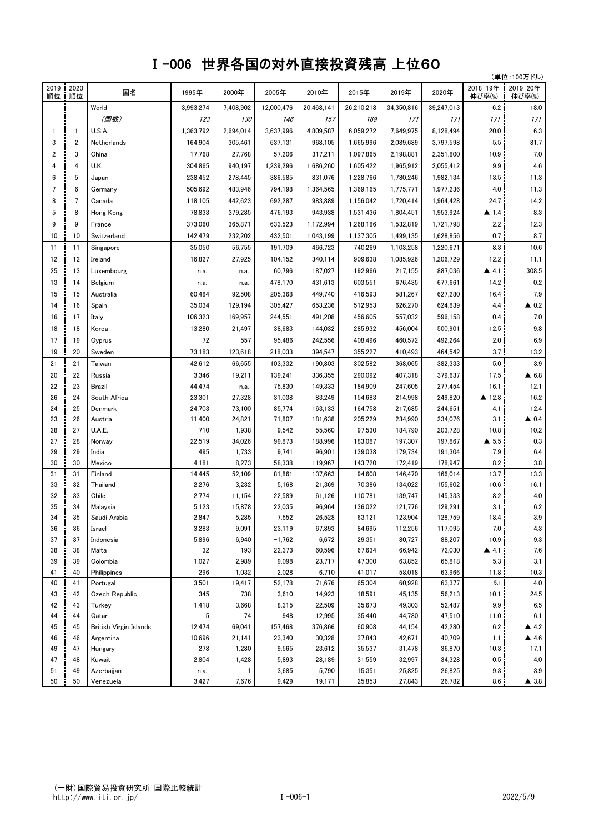## Ⅰ-006 世界各国の対外直接投資残高 上位60

|            |                         |                        |                |                  |                 |                  |                   |                    |                    |                      | (単位:100万ドル)          |
|------------|-------------------------|------------------------|----------------|------------------|-----------------|------------------|-------------------|--------------------|--------------------|----------------------|----------------------|
| 2019<br>順位 | 2020<br>順位              | 国名                     | 1995年          | 2000年            | 2005年           | 2010年            | 2015年             | 2019年              | 2020年              | 2018-19年<br>伸び率(%)   | 2019-20年<br>伸び率(%)   |
|            |                         | World                  | 3,993,274      | 7,408,902        | 12,000,476      | 20,468,141       | 26,210,218        | 34,350,816         | 39,247,013         | 6.2                  | 18.0                 |
|            |                         | (国数)                   | 123            | 130              | 146             | 157              | 169               | 171                | 171                | 171                  | 171                  |
| 1          | 1                       | U.S.A.                 | 1,363,792      | 2,694,014        | 3,637,996       | 4,809,587        | 6,059,272         | 7,649,975          | 8,128,494          | 20.0                 | 6.3                  |
| 3          | $\overline{\mathbf{c}}$ | Netherlands            | 164,904        | 305,461          | 637,131         | 968,105          | 1,665,996         | 2,089,689          | 3,797,598          | 5.5                  | 81.7                 |
| 2          | 3                       | China                  | 17,768         | 27,768           | 57,206          | 317,211          | 1,097,865         | 2,198,881          | 2,351,800          | 10.9                 | 7.0                  |
| 4          | 4                       | U.K.                   | 304,865        | 940,197          | 1,239,296       | 1,686,260        | 1,605,422         | 1,965,912          | 2,055,412          | 9.9                  | 4.6                  |
| 6          | 5                       | Japan                  | 238,452        | 278,445          | 386,585         | 831,076          | 1,228,766         | 1,780,246          | 1,982,134          | 13.5                 | 11.3                 |
| 7          | 6                       | Germany                | 505,692        | 483,946          | 794,198         | 1,364,565        | 1,369,165         | 1,775,771          | 1,977,236          | 4.0                  | 11.3                 |
| 8          | 7                       | Canada                 | 118,105        | 442,623          | 692,287         | 983,889          | 1,156,042         | 1,720,414          | 1,964,428          | 24.7                 | 14.2                 |
| 5          | 8                       | Hong Kong              | 78,833         | 379,285          | 476,193         | 943,938          | 1,531,436         | 1,804,451          | 1,953,924          | $\blacktriangle$ 1.4 | 8.3                  |
| 9          | 9                       | France                 | 373,060        | 365,871          | 633,523         | 1,172,994        | 1,268,186         | 1,532,819          | 1,721,798          | 2.2                  | 12.3                 |
| 10         | 10                      | Switzerland            | 142,479        | 232,202          | 432,501         | 1,043,199        | 1,137,305         | 1,499,135          | 1,628,856          | 0.7                  | 8.7                  |
| 11         | 11                      | Singapore              | 35,050         | 56,755           | 191,709         | 466,723          | 740,269           | 1,103,258          | 1,220,671          | 8.3                  | 10.6                 |
| 12         | 12                      | Ireland                | 16,827         | 27,925           | 104,152         | 340,114          | 909,638           | 1,085,926          | 1,206,729          | 12.2                 | 11.1                 |
| 25         | 13                      | Luxembourg             | n.a.           | n.a.             | 60,796          | 187,027          | 192,966           | 217,155            | 887,036            | $\blacktriangle$ 4.1 | 308.5                |
| 13         | 14                      | Belgium                | n.a.           | n.a.             | 478,170         | 431,613          | 603,551           | 676,435            | 677,661            | 14.2                 | 0.2                  |
| 15         | 15                      |                        |                |                  |                 | 449.740          |                   |                    |                    |                      | 7.9                  |
|            |                         | Australia              | 60,484         | 92,508           | 205,368         |                  | 416,593           | 581,267            | 627,280            | 16.4                 |                      |
| 14         | 16                      | Spain                  | 35,034         | 129,194          | 305,427         | 653,236          | 512,953           | 626,270            | 624,839            | 4.4                  | $\triangle$ 0.2      |
| 16         | 17                      | Italy                  | 106,323        | 169,957          | 244,551         | 491,208          | 456,605           | 557,032            | 596,158            | 0.4                  | 7.0                  |
| 18         | 18                      | Korea                  | 13,280         | 21,497           | 38,683          | 144,032          | 285,932           | 456,004            | 500,901            | 12.5                 | 9.8                  |
| 17         | 19                      | Cyprus                 | 72             | 557              | 95,486          | 242,556          | 408,496           | 460,572            | 492,264            | 2.0                  | 6.9                  |
| 19         | 20                      | Sweden                 | 73,183         | 123,618          | 218,033         | 394,547          | 355,227           | 410,493            | 464,542            | 3.7                  | 13.2                 |
| 21         | 21                      | Taiwan                 | 42,612         | 66,655           | 103,332         | 190,803          | 302,582           | 368,065            | 382,333            | 5.0                  | 3.9                  |
| 20         | 22                      | Russia                 | 3,346          | 19,211           | 139,241         | 336,355          | 290,092           | 407,318            | 379,637            | 17.5                 | $\triangle$ 6.8      |
| 22         | 23                      | Brazil                 | 44,474         | n.a.             | 75,830          | 149,333          | 184,909           | 247,605            | 277,454            | 16.1                 | 12.1                 |
| 26         | 24                      | South Africa           | 23,301         | 27,328           | 31,038          | 83,249           | 154,683           | 214,998            | 249,820            | ▲ 12.8               | 16.2                 |
| 24         | 25                      | Denmark                | 24,703         | 73,100           | 85,774          | 163,133          | 164,758           | 217,685            | 244,651            | 4.1                  | 12.4                 |
| 23         | 26                      | Austria                | 11,400         | 24,821           | 71,807          | 181,638          | 205,229           | 234,990            | 234,076            | 3.1                  | $\triangle$ 0.4      |
| 28         | 27                      | U.A.E.                 | 710            | 1,938            | 9,542           | 55,560           | 97,530            | 184,790            | 203,728            | 10.8                 | 10.2                 |
| 27         | 28                      | Norway                 | 22,519         | 34,026           | 99,873          | 188,996          | 183,087           | 197,307            | 197,867            | $\triangle$ 5.5      | 0.3                  |
| 29         | 29                      | India                  | 495            | 1,733            | 9,741           | 96,901           | 139,038           | 179,734            | 191,304            | 7.9                  | 6.4                  |
| 30         | 30                      | Mexico                 | 4,181          | 8,273            | 58,338          | 119.967          | 143,720           | 172,419            | 178,947            | 8.2                  | 3.8                  |
| 31         | 31<br>32                | Finland                | 14,445         | 52,109           | 81,861          | 137,663          | 94,608            | 146,470            | 166,014            | 13.7                 | 13.3<br>16.1         |
| 33<br>32   | 33                      | Thailand<br>Chile      | 2,276<br>2,774 | 3,232            | 5,168<br>22,589 | 21,369<br>61,126 | 70,386<br>110,781 | 134,022<br>139,747 | 155,602<br>145,333 | 10.6<br>8.2          | $4.0\,$              |
| 35         | 34                      | Malaysia               | 5,123          | 11,154<br>15,878 | 22,035          | 96,964           | 136,022           | 121,776            | 129,291            | 3.1                  | $6.2\,$              |
| 34         | 35                      | Saudi Arabia           | 2,847          | 5,285            | 7,552           | 26,528           | 63,121            | 123,904            | 128,759            | 18.4                 | 3.9                  |
| 36         | 36                      | Israel                 | 3,283          | 9,091            | 23,119          | 67,893           | 84,695            | 112,256            | 117,095            | 7.0                  | 4.3                  |
| 37         | 37                      | Indonesia              | 5,896          | 6,940            | $-1,762$        | 6,672            | 29,351            | 80,727             | 88,207             | 10.9                 | 9.3                  |
| 38         | 38                      | Malta                  | 32             | 193              | 22,373          | 60,596           | 67,634            | 66,942             | 72,030             | $\blacktriangle$ 4.1 | 7.6                  |
| 39         | 39                      | Colombia               | 1,027          | 2,989            | 9,098           | 23,717           | 47,300            | 63,852             | 65,818             | 5.3                  | 3.1                  |
| 41         | 40                      | Philippines            | 296            | 1,032            | 2,028           | 6,710            | 41,017            | 58,018             | 63,966             | 11.8                 | 10.3                 |
| 40         | 41                      | Portugal               | 3,501          | 19,417           | 52,178          | 71,676           | 65,304            | 60,928             | 63,377             | 5.1                  | 4.0                  |
| 43         | 42                      | Czech Republic         | 345            | 738              | 3,610           | 14,923           | 18,591            | 45,135             | 56,213             | 10.1                 | 24.5                 |
| 42         | 43                      | Turkey                 | 1,418          | 3,668            | 8,315           | 22,509           | 35,673            | 49,303             | 52,487             | 9.9                  | 6.5                  |
| 44         | 44                      | Qatar                  | 5              | 74               | 948             | 12,995           | 35,440            | 44,780             | 47,510             | 11.0                 | 6.1                  |
| 45         | 45                      | British Virgin Islands | 12,474         | 69,041           | 157,468         | 376,866          | 60,908            | 44,154             | 42,280             | 6.2                  | 4.2                  |
| 46         | 46                      | Argentina              | 10,696         | 21,141           | 23,340          | 30,328           | 37,843            | 42,671             | 40,709             | 1.1                  | 4.6                  |
| 49         | 47                      | Hungary                | 278            | 1,280            | 9,565           | 23,612           | 35,537            | 31,478             | 36,870             | 10.3                 | 17.1                 |
| 47         | 48                      | Kuwait                 | 2,804          | 1,428            | 5,893           | 28,189           | 31,559            | 32,997             | 34,328             | 0.5                  | 4.0                  |
| 51         | 49                      | Azerbaijan             | n.a.           |                  | 3,685           | 5,790            | 15,351            | 25,825             | 26,825             | 9.3                  | 3.9                  |
| 50         | 50                      | Venezuela              | 3,427          | 7,676            | 9,429           | 19,171           | 25,853            | 27,843             | 26,782             | 8.6                  | $\blacktriangle$ 3.8 |